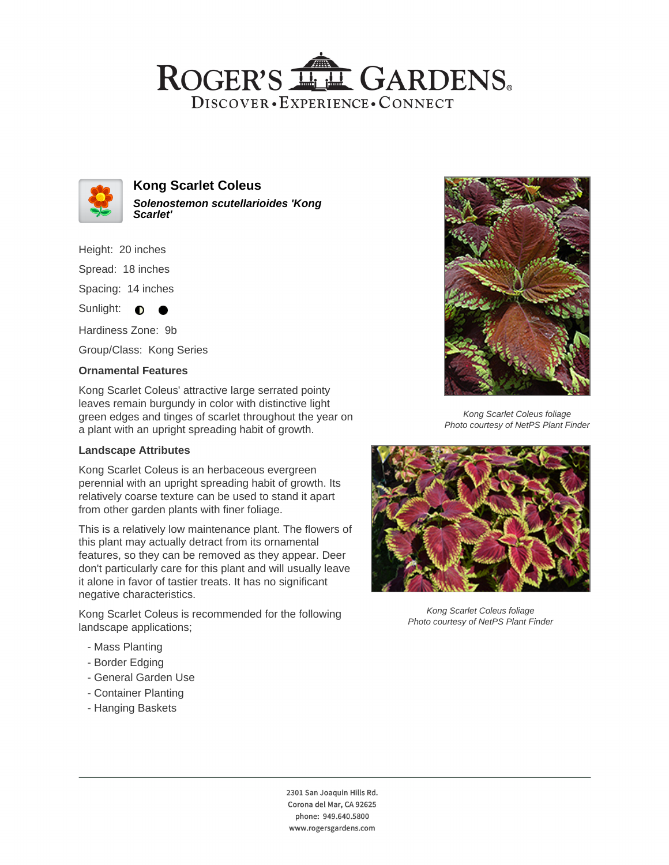## ROGER'S LL GARDENS. DISCOVER · EXPERIENCE · CONNECT



**Kong Scarlet Coleus Solenostemon scutellarioides 'Kong Scarlet'**

Height: 20 inches

Spread: 18 inches

Spacing: 14 inches

Sunlight:  $\bullet$ 

Hardiness Zone: 9b

Group/Class: Kong Series

#### **Ornamental Features**

Kong Scarlet Coleus' attractive large serrated pointy leaves remain burgundy in color with distinctive light green edges and tinges of scarlet throughout the year on a plant with an upright spreading habit of growth.

### **Landscape Attributes**

Kong Scarlet Coleus is an herbaceous evergreen perennial with an upright spreading habit of growth. Its relatively coarse texture can be used to stand it apart from other garden plants with finer foliage.

This is a relatively low maintenance plant. The flowers of this plant may actually detract from its ornamental features, so they can be removed as they appear. Deer don't particularly care for this plant and will usually leave it alone in favor of tastier treats. It has no significant negative characteristics.

Kong Scarlet Coleus is recommended for the following landscape applications;

- Mass Planting
- Border Edging
- General Garden Use
- Container Planting
- Hanging Baskets



Kong Scarlet Coleus foliage Photo courtesy of NetPS Plant Finder



Kong Scarlet Coleus foliage Photo courtesy of NetPS Plant Finder

2301 San Joaquin Hills Rd. Corona del Mar, CA 92625 phone: 949.640.5800 www.rogersgardens.com